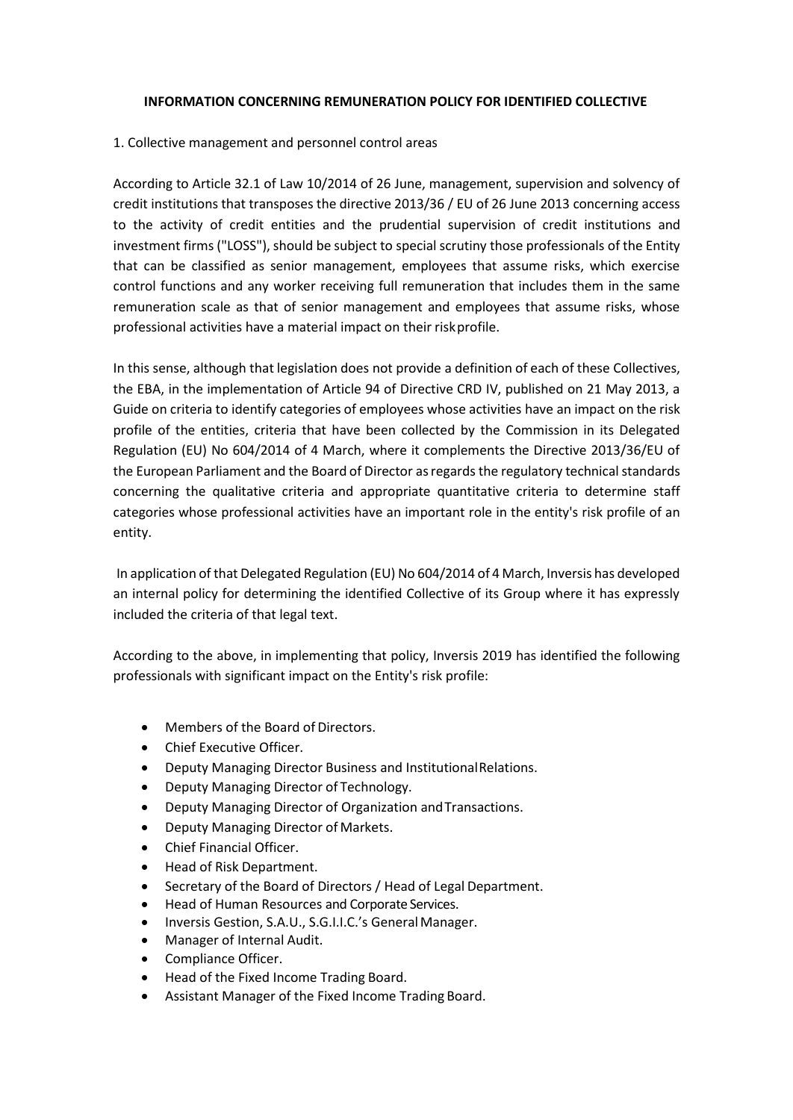## **INFORMATION CONCERNING REMUNERATION POLICY FOR IDENTIFIED COLLECTIVE**

## 1. Collective management and personnel control areas

According to Article 32.1 of Law 10/2014 of 26 June, management, supervision and solvency of credit institutions that transposes the directive 2013/36 / EU of 26 June 2013 concerning access to the activity of credit entities and the prudential supervision of credit institutions and investment firms ("LOSS"), should be subject to special scrutiny those professionals of the Entity that can be classified as senior management, employees that assume risks, which exercise control functions and any worker receiving full remuneration that includes them in the same remuneration scale as that of senior management and employees that assume risks, whose professional activities have a material impact on their riskprofile.

In this sense, although that legislation does not provide a definition of each of these Collectives, the EBA, in the implementation of Article 94 of Directive CRD IV, published on 21 May 2013, a Guide on criteria to identify categories of employees whose activities have an impact on the risk profile of the entities, criteria that have been collected by the Commission in its Delegated Regulation (EU) No 604/2014 of 4 March, where it complements the Directive 2013/36/EU of the European Parliament and the Board of Director as regards the regulatory technical standards concerning the qualitative criteria and appropriate quantitative criteria to determine staff categories whose professional activities have an important role in the entity's risk profile of an entity.

In application of that Delegated Regulation (EU) No 604/2014 of 4 March, Inversis has developed an internal policy for determining the identified Collective of its Group where it has expressly included the criteria of that legal text.

According to the above, in implementing that policy, Inversis 2019 has identified the following professionals with significant impact on the Entity's risk profile:

- Members of the Board of Directors.
- Chief Executive Officer.
- Deputy Managing Director Business and InstitutionalRelations.
- Deputy Managing Director of Technology.
- Deputy Managing Director of Organization andTransactions.
- Deputy Managing Director of Markets.
- Chief Financial Officer.
- Head of Risk Department.
- Secretary of the Board of Directors / Head of Legal Department.
- Head of Human Resources and Corporate Services.
- Inversis Gestion, S.A.U., S.G.I.I.C.'s General Manager.
- Manager of Internal Audit.
- Compliance Officer.
- Head of the Fixed Income Trading Board.
- Assistant Manager of the Fixed Income Trading Board.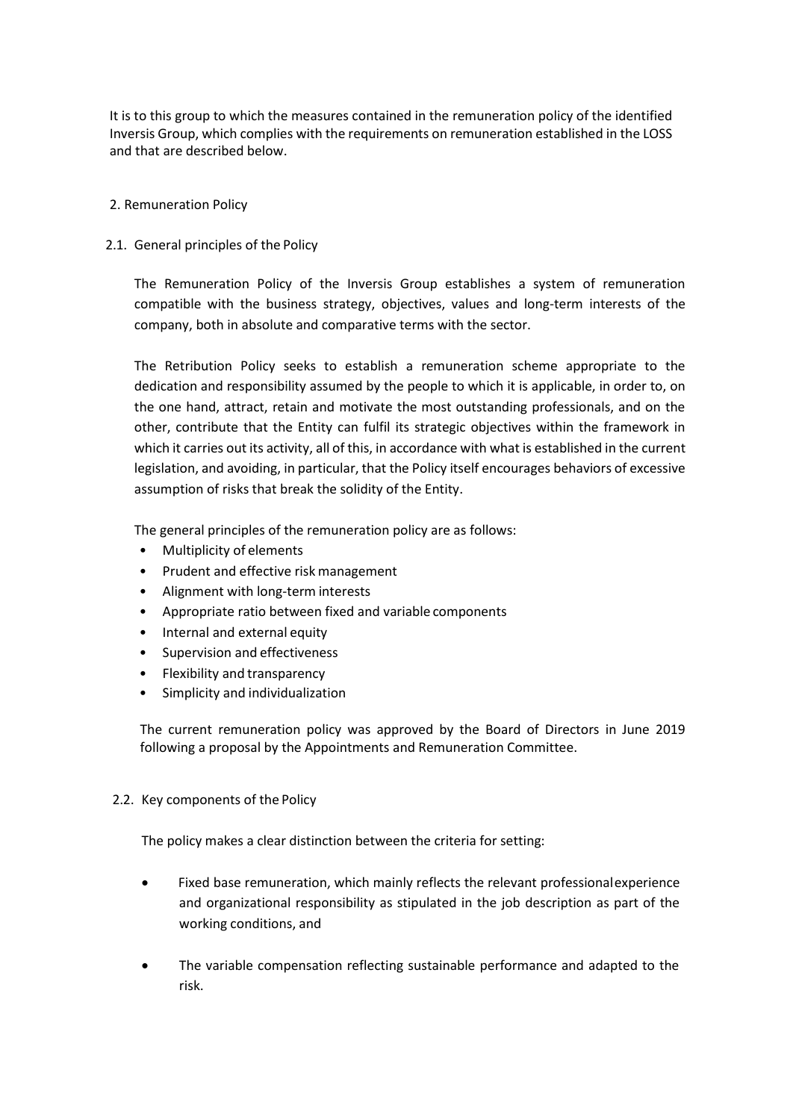It is to this group to which the measures contained in the remuneration policy of the identified Inversis Group, which complies with the requirements on remuneration established in the LOSS and that are described below.

### 2. Remuneration Policy

#### 2.1. General principles of the Policy

The Remuneration Policy of the Inversis Group establishes a system of remuneration compatible with the business strategy, objectives, values and long-term interests of the company, both in absolute and comparative terms with the sector.

The Retribution Policy seeks to establish a remuneration scheme appropriate to the dedication and responsibility assumed by the people to which it is applicable, in order to, on the one hand, attract, retain and motivate the most outstanding professionals, and on the other, contribute that the Entity can fulfil its strategic objectives within the framework in which it carries out its activity, all of this, in accordance with what is established in the current legislation, and avoiding, in particular, that the Policy itself encourages behaviors of excessive assumption of risks that break the solidity of the Entity.

The general principles of the remuneration policy are as follows:

- Multiplicity of elements
- Prudent and effective risk management
- Alignment with long-term interests
- Appropriate ratio between fixed and variable components
- Internal and external equity
- Supervision and effectiveness
- Flexibility and transparency
- Simplicity and individualization

The current remuneration policy was approved by the Board of Directors in June 2019 following a proposal by the Appointments and Remuneration Committee.

2.2. Key components of the Policy

The policy makes a clear distinction between the criteria for setting:

- Fixed base remuneration, which mainly reflects the relevant professionalexperience and organizational responsibility as stipulated in the job description as part of the working conditions, and
- The variable compensation reflecting sustainable performance and adapted to the risk.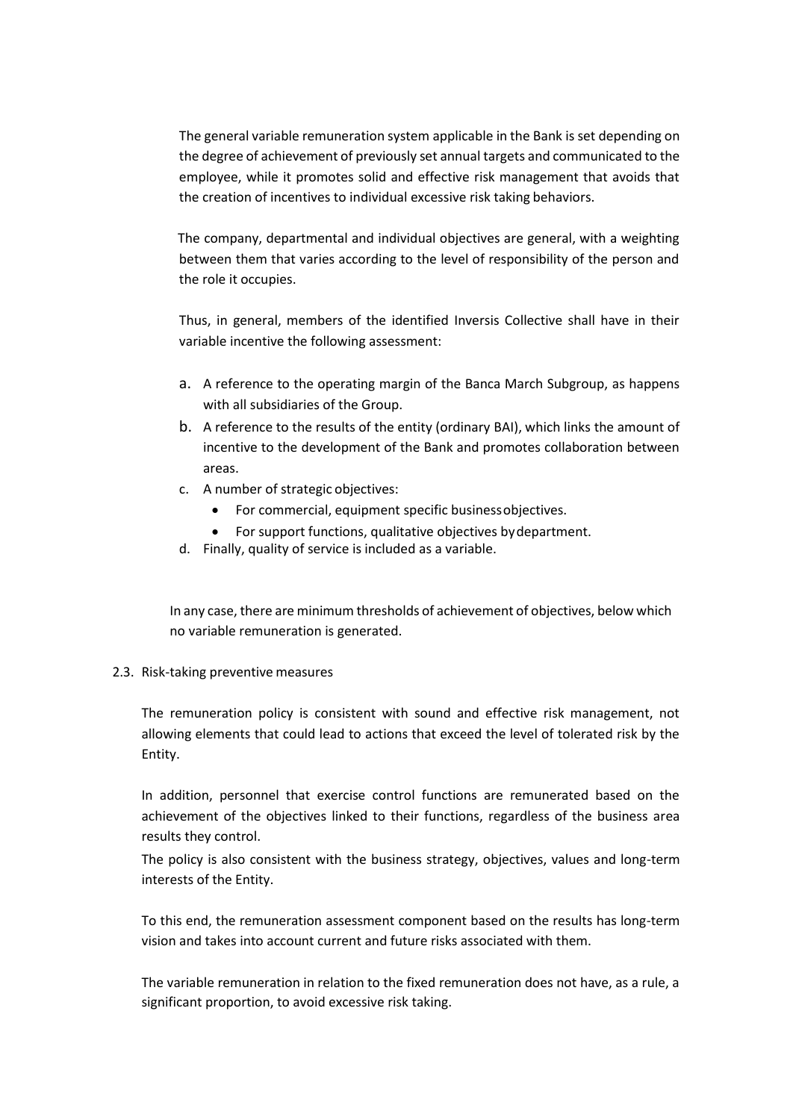The general variable remuneration system applicable in the Bank is set depending on the degree of achievement of previously set annual targets and communicated to the employee, while it promotes solid and effective risk management that avoids that the creation of incentives to individual excessive risk taking behaviors.

The company, departmental and individual objectives are general, with a weighting between them that varies according to the level of responsibility of the person and the role it occupies.

Thus, in general, members of the identified Inversis Collective shall have in their variable incentive the following assessment:

- a. A reference to the operating margin of the Banca March Subgroup, as happens with all subsidiaries of the Group.
- b. A reference to the results of the entity (ordinary BAI), which links the amount of incentive to the development of the Bank and promotes collaboration between areas.
- c. A number of strategic objectives:
	- For commercial, equipment specific businessobjectives.
	- For support functions, qualitative objectives bydepartment.
- d. Finally, quality of service is included as a variable.

In any case, there are minimum thresholds of achievement of objectives, below which no variable remuneration is generated.

2.3. Risk-taking preventive measures

The remuneration policy is consistent with sound and effective risk management, not allowing elements that could lead to actions that exceed the level of tolerated risk by the Entity.

In addition, personnel that exercise control functions are remunerated based on the achievement of the objectives linked to their functions, regardless of the business area results they control.

The policy is also consistent with the business strategy, objectives, values and long-term interests of the Entity.

To this end, the remuneration assessment component based on the results has long-term vision and takes into account current and future risks associated with them.

The variable remuneration in relation to the fixed remuneration does not have, as a rule, a significant proportion, to avoid excessive risk taking.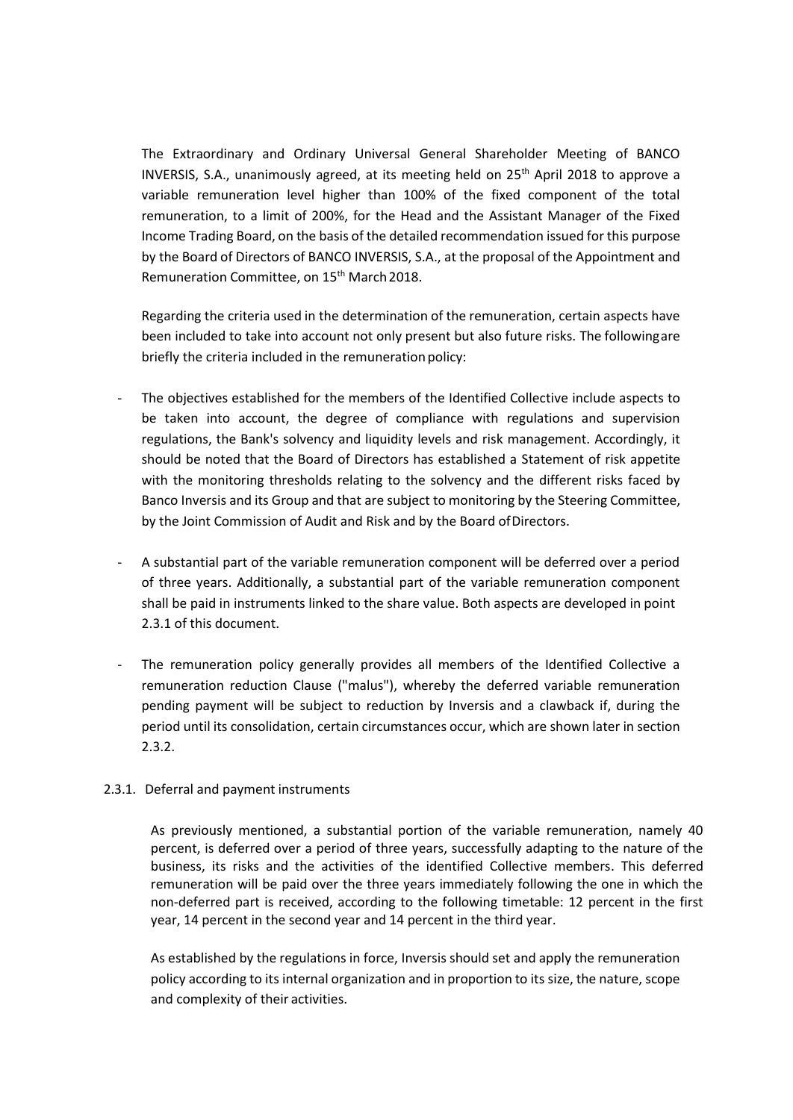The Extraordinary and Ordinary Universal General Shareholder Meeting of BANCO INVERSIS, S.A., unanimously agreed, at its meeting held on 25th April 2018 to approve a variable remuneration level higher than 100% of the fixed component of the total remuneration, to a limit of 200%, for the Head and the Assistant Manager of the Fixed Income Trading Board, on the basis of the detailed recommendation issued for this purpose by the Board of Directors of BANCO INVERSIS, S.A., at the proposal of the Appointment and Remuneration Committee, on 15<sup>th</sup> March 2018.

Regarding the criteria used in the determination of the remuneration, certain aspects have been included to take into account not only present but also future risks. The followingare briefly the criteria included in the remuneration policy:

- The objectives established for the members of the Identified Collective include aspects to be taken into account, the degree of compliance with regulations and supervision regulations, the Bank's solvency and liquidity levels and risk management. Accordingly, it should be noted that the Board of Directors has established a Statement of risk appetite with the monitoring thresholds relating to the solvency and the different risks faced by Banco Inversis and its Group and that are subject to monitoring by the Steering Committee, by the Joint Commission of Audit and Risk and by the Board ofDirectors.
- A substantial part of the variable remuneration component will be deferred over a period of three years. Additionally, a substantial part of the variable remuneration component shall be paid in instruments linked to the share value. Both aspects are developed in point 2.3.1 of this document.
- The remuneration policy generally provides all members of the Identified Collective a remuneration reduction Clause ("malus"), whereby the deferred variable remuneration pending payment will be subject to reduction by Inversis and a clawback if, during the period until its consolidation, certain circumstances occur, which are shown later in section 2.3.2.

## 2.3.1. Deferral and payment instruments

As previously mentioned, a substantial portion of the variable remuneration, namely 40 percent, is deferred over a period of three years, successfully adapting to the nature of the business, its risks and the activities of the identified Collective members. This deferred remuneration will be paid over the three years immediately following the one in which the non-deferred part is received, according to the following timetable: 12 percent in the first year, 14 percent in the second year and 14 percent in the third year.

As established by the regulations in force, Inversis should set and apply the remuneration policy according to its internal organization and in proportion to its size, the nature, scope and complexity of their activities.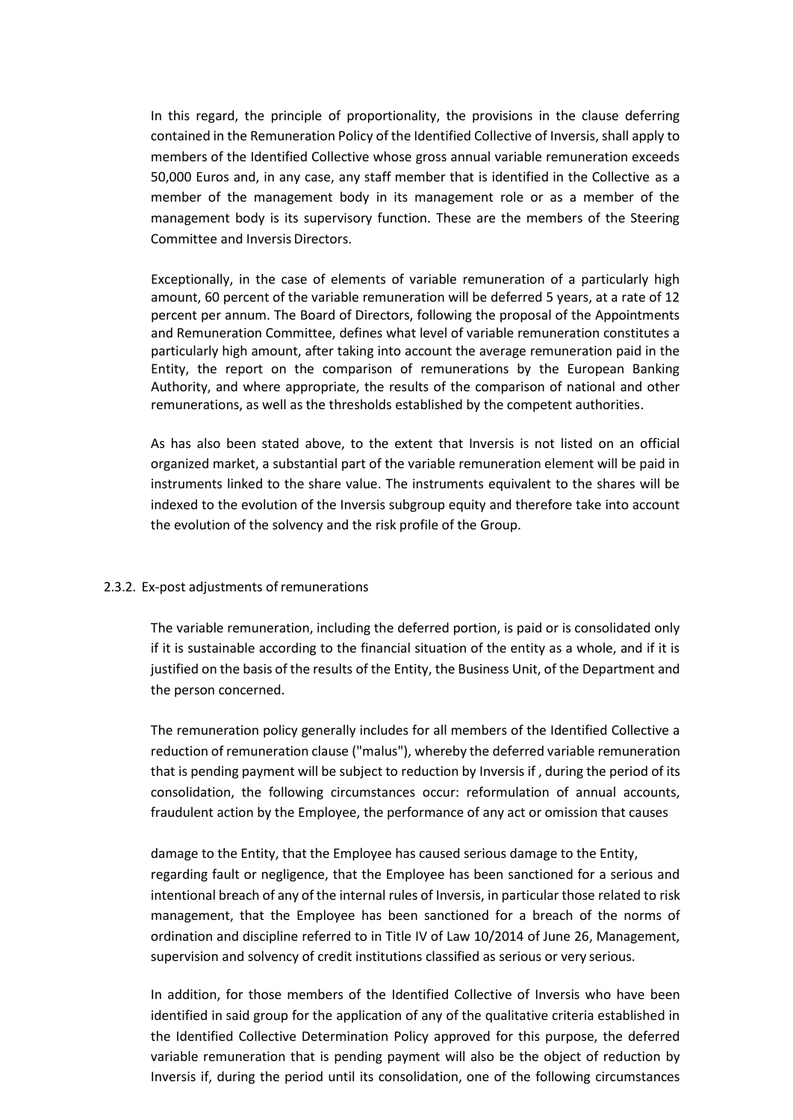In this regard, the principle of proportionality, the provisions in the clause deferring contained in the Remuneration Policy of the Identified Collective of Inversis, shall apply to members of the Identified Collective whose gross annual variable remuneration exceeds 50,000 Euros and, in any case, any staff member that is identified in the Collective as a member of the management body in its management role or as a member of the management body is its supervisory function. These are the members of the Steering Committee and Inversis Directors.

Exceptionally, in the case of elements of variable remuneration of a particularly high amount, 60 percent of the variable remuneration will be deferred 5 years, at a rate of 12 percent per annum. The Board of Directors, following the proposal of the Appointments and Remuneration Committee, defines what level of variable remuneration constitutes a particularly high amount, after taking into account the average remuneration paid in the Entity, the report on the comparison of remunerations by the European Banking Authority, and where appropriate, the results of the comparison of national and other remunerations, as well as the thresholds established by the competent authorities.

As has also been stated above, to the extent that Inversis is not listed on an official organized market, a substantial part of the variable remuneration element will be paid in instruments linked to the share value. The instruments equivalent to the shares will be indexed to the evolution of the Inversis subgroup equity and therefore take into account the evolution of the solvency and the risk profile of the Group.

## 2.3.2. Ex-post adjustments of remunerations

The variable remuneration, including the deferred portion, is paid or is consolidated only if it is sustainable according to the financial situation of the entity as a whole, and if it is justified on the basis of the results of the Entity, the Business Unit, of the Department and the person concerned.

The remuneration policy generally includes for all members of the Identified Collective a reduction of remuneration clause ("malus"), whereby the deferred variable remuneration that is pending payment will be subject to reduction by Inversis if , during the period of its consolidation, the following circumstances occur: reformulation of annual accounts, fraudulent action by the Employee, the performance of any act or omission that causes

damage to the Entity, that the Employee has caused serious damage to the Entity, regarding fault or negligence, that the Employee has been sanctioned for a serious and intentional breach of any of the internal rules of Inversis, in particular those related to risk management, that the Employee has been sanctioned for a breach of the norms of ordination and discipline referred to in Title IV of Law 10/2014 of June 26, Management, supervision and solvency of credit institutions classified as serious or very serious.

In addition, for those members of the Identified Collective of Inversis who have been identified in said group for the application of any of the qualitative criteria established in the Identified Collective Determination Policy approved for this purpose, the deferred variable remuneration that is pending payment will also be the object of reduction by Inversis if, during the period until its consolidation, one of the following circumstances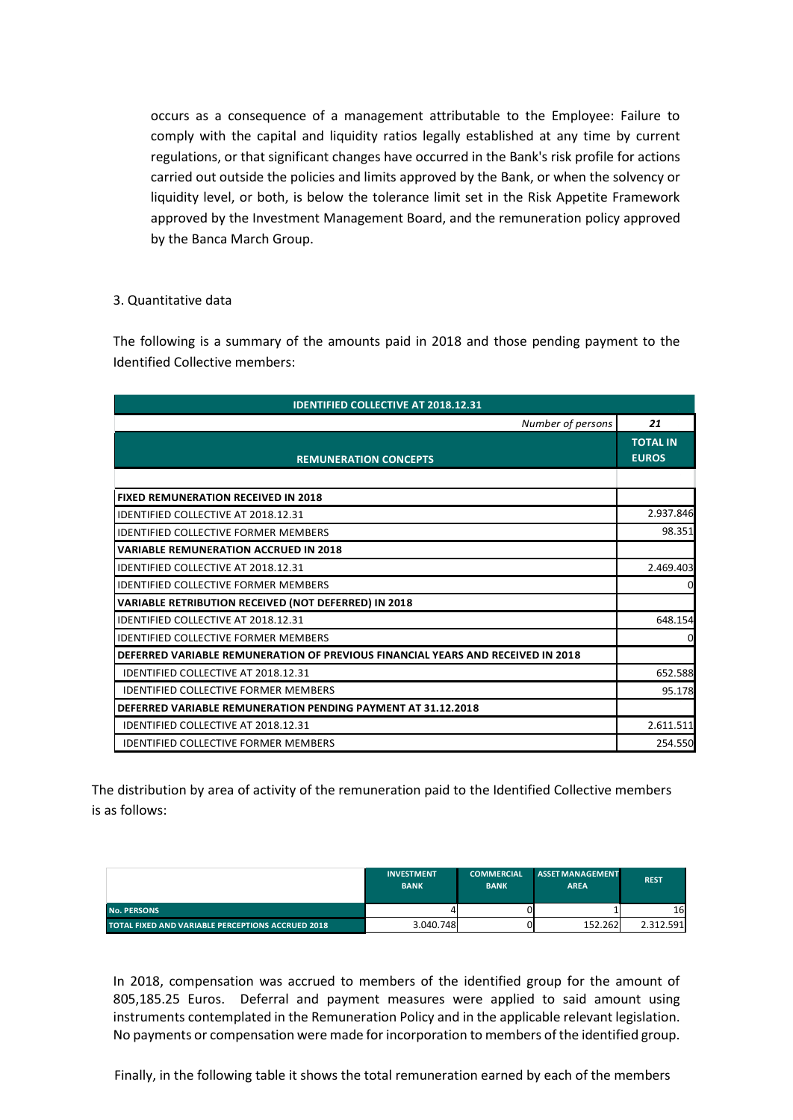occurs as a consequence of a management attributable to the Employee: Failure to comply with the capital and liquidity ratios legally established at any time by current regulations, or that significant changes have occurred in the Bank's risk profile for actions carried out outside the policies and limits approved by the Bank, or when the solvency or liquidity level, or both, is below the tolerance limit set in the Risk Appetite Framework approved by the Investment Management Board, and the remuneration policy approved by the Banca March Group.

# 3. Quantitative data

The following is a summary of the amounts paid in 2018 and those pending payment to the Identified Collective members:

| <b>IDENTIFIED COLLECTIVE AT 2018.12.31</b>                                      |                                 |  |  |  |
|---------------------------------------------------------------------------------|---------------------------------|--|--|--|
| Number of persons                                                               | 21                              |  |  |  |
| <b>REMUNERATION CONCEPTS</b>                                                    | <b>TOTAL IN</b><br><b>EUROS</b> |  |  |  |
|                                                                                 |                                 |  |  |  |
| <b>FIXED REMUNERATION RECEIVED IN 2018</b>                                      |                                 |  |  |  |
| <b>IDENTIFIED COLLECTIVE AT 2018.12.31</b>                                      | 2.937.846                       |  |  |  |
| <b>IDENTIFIED COLLECTIVE FORMER MEMBERS</b>                                     | 98.351                          |  |  |  |
| <b>VARIABLE REMUNERATION ACCRUED IN 2018</b>                                    |                                 |  |  |  |
| <b>IDENTIFIED COLLECTIVE AT 2018.12.31</b>                                      | 2.469.403                       |  |  |  |
| IDENTIFIED COLLECTIVE FORMER MEMBERS                                            | 0                               |  |  |  |
| VARIABLE RETRIBUTION RECEIVED (NOT DEFERRED) IN 2018                            |                                 |  |  |  |
| <b>IDENTIFIED COLLECTIVE AT 2018.12.31</b>                                      | 648.154                         |  |  |  |
| <b>IDENTIFIED COLLECTIVE FORMER MEMBERS</b>                                     | $\Omega$                        |  |  |  |
| DEFERRED VARIABLE REMUNERATION OF PREVIOUS FINANCIAL YEARS AND RECEIVED IN 2018 |                                 |  |  |  |
| <b>IDENTIFIED COLLECTIVE AT 2018.12.31</b>                                      | 652.588                         |  |  |  |
| <b>IDENTIFIED COLLECTIVE FORMER MEMBERS</b>                                     | 95.178                          |  |  |  |
| DEFERRED VARIABLE REMUNERATION PENDING PAYMENT AT 31.12.2018                    |                                 |  |  |  |
| <b>IDENTIFIED COLLECTIVE AT 2018.12.31</b>                                      | 2.611.511                       |  |  |  |
| <b>IDENTIFIED COLLECTIVE FORMER MEMBERS</b>                                     | 254.550                         |  |  |  |

The distribution by area of activity of the remuneration paid to the Identified Collective members is as follows:

|                                                   | <b>INVESTMENT</b><br><b>BANK</b> | <b>COMMERCIAL</b><br><b>BANK</b> | <b>ASSET MANAGEMENT</b><br><b>AREA</b> | <b>REST</b> |
|---------------------------------------------------|----------------------------------|----------------------------------|----------------------------------------|-------------|
| <b>No. PERSONS</b>                                |                                  |                                  |                                        | 16          |
| TOTAL FIXED AND VARIABLE PERCEPTIONS ACCRUED 2018 | 3.040.748                        |                                  | 152.262                                | 2.312.591   |

In 2018, compensation was accrued to members of the identified group for the amount of 805,185.25 Euros. Deferral and payment measures were applied to said amount using instruments contemplated in the Remuneration Policy and in the applicable relevant legislation. No payments or compensation were made for incorporation to members of the identified group.